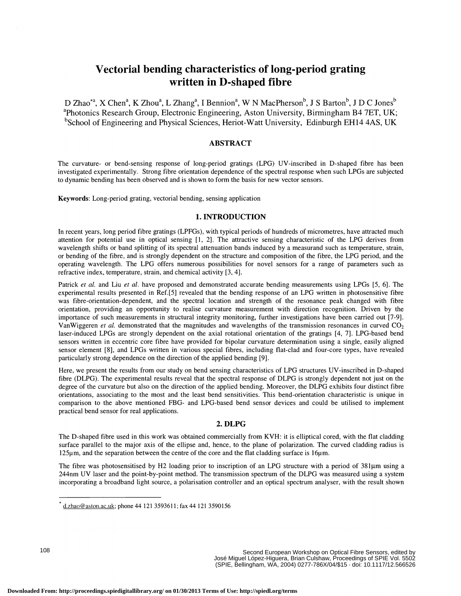# Vectorial bending characteristics of long-period grating written in D-shaped fibre

D Zhao\*a, X Chena, K Zhoua, L Zhanga, I Benniona, W N MacPherson<sup>b</sup>, J S Barton<sup>b</sup>, J D C Jones<sup>b</sup> <sup>a</sup>Photonics Research Group, Electronic Engineering, Aston University, Birmingham B4 7ET, UK; <sup>b</sup>School of Engineering and Physical Sciences, Heriot-Watt University, Edinburgh EH14 4AS, UK

## ABSTRACT

The curvature- or bend-sensing response of long-period gratings (LPG) UV-inscribed in D-shaped fibre has been investigated experimentally. Strong fibre orientation dependence of the spectral response when such LPGs are subjected to dynamic bending has been observed and is shown to form the basis for new vector sensors.

Keywords: Long-period grating, vectorial bending, sensing application

## 1. INTRODUCTION

In recent years, long period fibre gratings (LPFGs), with typical periods of hundreds of micrometres, have attracted much attention for potential use in optical sensing [1, 2J. The attractive sensing characteristic of the LPG derives from wavelength shifts or band splitting of its spectral attenuation bands induced by a measurand such as temperature, strain, or bending of the fibre, and is strongly dependent on the structure and composition of the fibre, the LPG period, and the operating wavelength. The LPG offers numerous possibilities for novel sensors for a range of parameters such as refractive index, temperature, strain, and chemical activity [3, 4].

Patrick et al. and Liu et al. have proposed and demonstrated accurate bending measurements using LPGs [5, 6]. The experimental results presented in Ref.[5] revealed that the bending response of an LPG written in photosensitive fibre was fibre-orientation-dependent, and the spectral location and strength of the resonance peak changed with fibre orientation, providing an opportunity to realise curvature measurement with direction recognition. Driven by the importance of such measurements in structural integrity monitoring, further investigations have been carried out [7-9]. VanWiggeren *et al.* demonstrated that the magnitudes and wavelengths of the transmission resonances in curved  $CO<sub>2</sub>$ laser-induced LPGs are strongly dependent on the axial rotational orientation of the gratings [4, 7]. LPG-based bend sensors written in eccentric core fibre have provided for bipolar curvature determination using a single, easily aligned sensor element [8], and LPGs written in various special fibres, including flat-clad and four-core types, have revealed particularly strong dependence on the direction of the applied bending [9].

Here, we present the results from our study on bend sensing characteristics of LPG structures UV-inscribed in D-shaped fibre (DLPG). The experimental results reveal that the spectral response of DLPG is strongly dependent not just on the degree of the curvature but also on the direction of the applied bending. Moreover, the DLPG exhibits four distinct fibre orientations, associating to the most and the least bend sensitivities. This bend-orientation characteristic is unique in comparison to the above mentioned FBG- and LPG-based bend sensor devices and could be utilised to implement practical bend sensor for real applications.

# 2. DLPG

The D-shaped fibre used in this work was obtained commercially from KVH: it is elliptical cored, with the flat cladding surface parallel to the major axis of the ellipse and, hence, to the plane of polarization. The curved cladding radius is  $125\mu$ m, and the separation between the centre of the core and the flat cladding surface is 16 $\mu$ m.

The fibre was photosensitised by H2 loading prior to inscription of an LPG structure with a period of 381µm using a 244nm UV laser and the point-by-point method. The transmission spectrum of the DLPG was measured using a system incorporating a broadband light source, a polarisation controller and an optical spectrum analyser, with the result shown

d.zhao@aston.ac.uk; phone 44 121 3593611; fax 44 121 3590156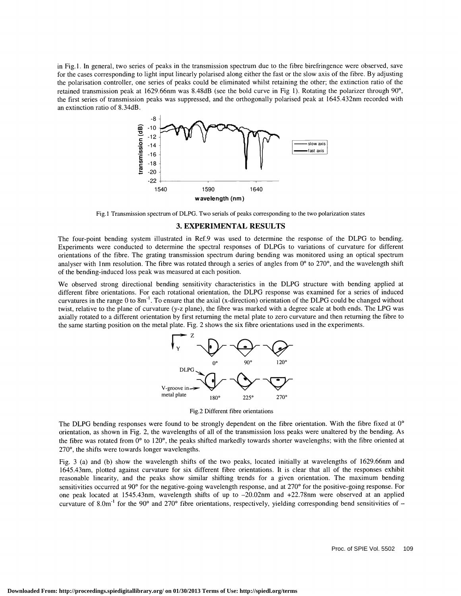in Fig. 1 . In general, two series of peaks in the transmission spectrum due to the fibre birefringence were observed, save for the cases corresponding to light input linearly polarised along either the fast or the slow axis of the fibre. By adjusting the polarisation controller, one series of peaks could be eliminated whilst retaining the other; the extinction ratio of the retained transmission peak at 1629.66nm was 8.48dB (see the bold curve in Fig 1). Rotating the polarizer through 90°, the first series of transmission peaks was suppressed, and the orthogonally polarised peak at 1645.432nm recorded with an extinction ratio of 8.34dB.



Fig. 1 Transmission spectrum of DLPG. Two serials of peaks corresponding to the two polarization states

## 3. EXPERIMENTAL RESULTS

The four-point bending system illustrated in Ref.9 was used to determine the response of the DLPG to bending. Experiments were conducted to determine the spectral responses of DLPGs to variations of curvature for different orientations of the fibre. The grating transmission spectrum during bending was monitored using an optical spectrum analyser with 1nm resolution. The fibre was rotated through a series of angles from  $0^\circ$  to 270 $^\circ$ , and the wavelength shift of the bending-induced loss peak was measured at each position.

We observed strong directional bending sensitivity characteristics in the DLPG structure with bending applied at different fibre orientations. For each rotational orientation, the DLPG response was examined for a series of induced curvatures in the range 0 to  $8m<sup>-1</sup>$ . To ensure that the axial (x-direction) orientation of the DLPG could be changed without twist, relative to the plane of curvature (y-z plane), the fibre was marked with a degree scale at both ends. The LPG was axially rotated to a different orientation by first returning the metal plate to zero curvature and then returning the fibre to the same starting position on the metal plate. Fig. 2 shows the six fibre orientations used in the experiments.



Fig.2 Different fibre orientations

The DLPG bending responses were found to be strongly dependent on the fibre orientation. With the fibre fixed at 0° orientation, as shown in Fig. 2, the wavelengths of all of the transmission loss peaks were unaltered by the bending. As the fibre was rotated from  $0^{\circ}$  to 120°, the peaks shifted markedly towards shorter wavelengths; with the fibre oriented at 270°, the shifts were towards longer wavelengths.

Fig. 3 (a) and (b) show the wavelength shifts of the two peaks, located initially at wavelengths of 1629.66nm and 1645.43nm, plotted against curvature for six different fibre orientations. It is clear that all of the responses exhibit reasonable linearity, and the peaks show similar shifting trends for a given orientation. The maximum bending sensitivities occurred at 90° for the negative-going wavelength response, and at 270° for the positive-going response. For one peak located at 1545.43nm, wavelength shifts of up to —20.O2nm and +22.78nm were observed at an applied curvature of 8.0m<sup>-1</sup> for the 90° and 270° fibre orientations, respectively, yielding corresponding bend sensitivities of  $-$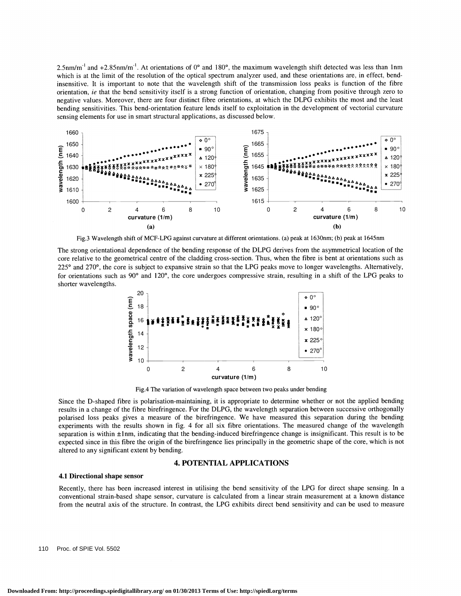$2.5$ nm/m<sup>-1</sup> and  $+2.85$ nm/m<sup>-1</sup>. At orientations of 0° and 180°, the maximum wavelength shift detected was less than 1nm which is at the limit of the resolution of the optical spectrum analyzer used, and these orientations are, in effect, bendinsensitive. It is important to note that the wavelength shift of the transmission loss peaks is function of the fibre orientation, ie that the bend sensitivity itself is a strong function of orientation, changing from positive through zero to negative values. Moreover, there are four distinct fibre orientations, at which the DLPG exhibits the most and the least bending sensitivities. This bend-orientation feature lends itself to exploitation in the development of vectorial curvature sensing elements for use in smart structural applications, as discussed below.



Fig.3 Wavelength shift of MCF-LPG against curvature at different orientations. (a) peak at  $1630$ nm; (b) peak at  $1645$ nm

The strong orientational dependence of the bending response of the DLPG derives from the asymmetrical location of the core relative to the geometrical centre of the cladding cross-section. Thus, when the fibre is bent at orientations such as  $225^\circ$  and  $270^\circ$ , the core is subject to expansive strain so that the LPG peaks move to longer wavelengths. Alternatively, for orientations such as  $90^{\circ}$  and  $120^{\circ}$ , the core undergoes compressive strain, resulting in a shift of the LPG peaks to shorter wavelengths.



Fig.4 The variation of wavelength space between two peaks under bending

Since the D-shaped fibre is polarisation-maintaining, it is appropriate to determine whether or not the applied bending results in a change of the fibre birefringence. For the DLPG, the wavelength separation between successive orthogonally polarised loss peaks gives a measure of the birefringence. We have measured this separation during the bending experiments with the results shown in fig. 4 for all six fibre orientations. The measured change of the wavelength separation is within  $\pm$ 1nm, indicating that the bending-induced birefringence change is insignificant. This result is to be expected since in this fibre the origin of the birefringence lies principally in the geometric shape of the core, which is not altered to any significant extent by bending.

## 4. POTENTIAL APPLICATIONS

#### 4.1 Directional shape sensor

Recently, there has been increased interest in utilising the bend sensitivity of the LPG for direct shape sensing. In a conventional strain-based shape sensor, curvature is calculated from a linear strain measurement at a known distance from the neutral axis of the structure. In contrast, the LPG exhibits direct bend sensitivity and can be used to measure